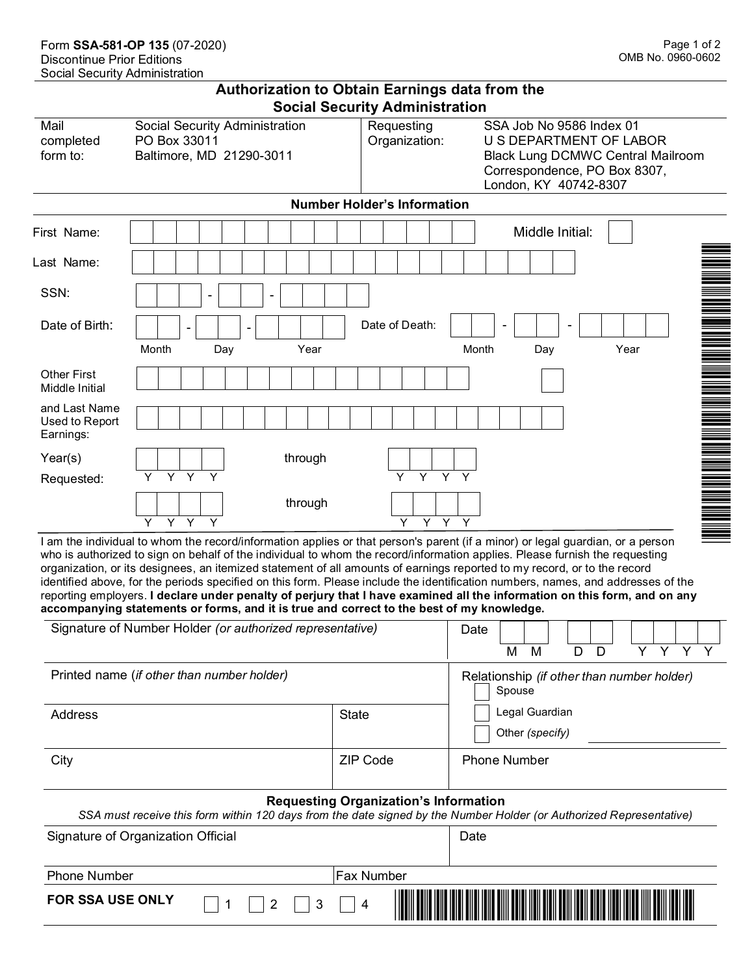## **Authorization to Obtain Earnings data from the Social Security Administration**

| Mail<br>completed<br>form to:                | Social Security Administration<br>PO Box 33011<br>Baltimore, MD 21290-3011 | Requesting<br>SSA Job No 9586 Index 01<br>Organization:<br>U S DEPARTMENT OF LABOR<br><b>Black Lung DCMWC Central Mailroom</b><br>Correspondence, PO Box 8307,<br>London, KY 40742-8307 |
|----------------------------------------------|----------------------------------------------------------------------------|-----------------------------------------------------------------------------------------------------------------------------------------------------------------------------------------|
|                                              |                                                                            | <b>Number Holder's Information</b>                                                                                                                                                      |
| First Name:                                  |                                                                            | Middle Initial:                                                                                                                                                                         |
| Last Name:                                   |                                                                            |                                                                                                                                                                                         |
| SSN:                                         | $\overline{\phantom{a}}$<br>-                                              |                                                                                                                                                                                         |
| Date of Birth:                               |                                                                            | Date of Death:                                                                                                                                                                          |
|                                              | Month<br>Year<br>Day                                                       | Year<br>Month<br>Day                                                                                                                                                                    |
| <b>Other First</b><br>Middle Initial         |                                                                            |                                                                                                                                                                                         |
| and Last Name<br>Used to Report<br>Earnings: |                                                                            | INI ANG ANG MANG Ang matatagpag at ang mga matatagpag ang manalaysing ang matatagpag ang matatagpag ang matata                                                                          |
| Year(s)                                      | through                                                                    |                                                                                                                                                                                         |
| Requested:                                   | $Y$ $Y$<br>$\overline{Y}$<br>Y.                                            | Y Y Y Y                                                                                                                                                                                 |
|                                              | through                                                                    |                                                                                                                                                                                         |
|                                              | Y Y<br>Y<br>Y                                                              | Y Y Y<br>Y                                                                                                                                                                              |

I am the individual to whom the record/information applies or that person's parent (if a minor) or legal guardian, or a person who is authorized to sign on behalf of the individual to whom the record/information applies. Please furnish the requesting organization, or its designees, an itemized statement of all amounts of earnings reported to my record, or to the record identified above, for the periods specified on this form. Please include the identification numbers, names, and addresses of the reporting employers. **I declare under penalty of perjury that I have examined all the information on this form, and on any accompanying statements or forms, and it is true and correct to the best of my knowledge.**

| Signature of Number Holder (or authorized representative)                                                                                                           | Date<br>M<br>M<br>D                                  |                                   |  |  |  |
|---------------------------------------------------------------------------------------------------------------------------------------------------------------------|------------------------------------------------------|-----------------------------------|--|--|--|
| Printed name (if other than number holder)                                                                                                                          | Relationship (if other than number holder)<br>Spouse |                                   |  |  |  |
| <b>Address</b>                                                                                                                                                      | <b>State</b>                                         | Legal Guardian<br>Other (specify) |  |  |  |
| City                                                                                                                                                                | <b>ZIP Code</b>                                      | <b>Phone Number</b>               |  |  |  |
| <b>Requesting Organization's Information</b><br>SSA must receive this form within 120 days from the date signed by the Number Holder (or Authorized Representative) |                                                      |                                   |  |  |  |
| Signature of Organization Official                                                                                                                                  |                                                      | Date                              |  |  |  |
| <b>Phone Number</b>                                                                                                                                                 |                                                      |                                   |  |  |  |
| <b>FOR SSA USE ONLY</b><br>3                                                                                                                                        | 4                                                    |                                   |  |  |  |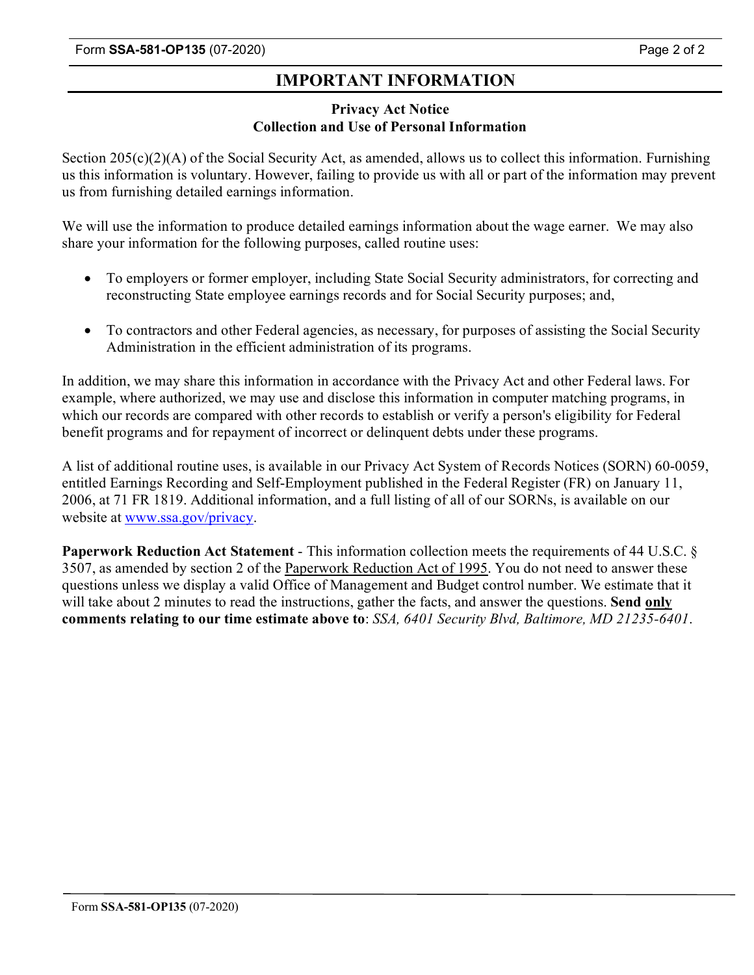# **IMPORTANT INFORMATION**

### **Privacy Act Notice Collection and Use of Personal Information**

Section 205(c)(2)(A) of the Social Security Act, as amended, allows us to collect this information. Furnishing us this information is voluntary. However, failing to provide us with all or part of the information may prevent us from furnishing detailed earnings information.

We will use the information to produce detailed earnings information about the wage earner. We may also share your information for the following purposes, called routine uses:

- To employers or former employer, including State Social Security administrators, for correcting and reconstructing State employee earnings records and for Social Security purposes; and,
- To contractors and other Federal agencies, as necessary, for purposes of assisting the Social Security Administration in the efficient administration of its programs.

In addition, we may share this information in accordance with the Privacy Act and other Federal laws. For example, where authorized, we may use and disclose this information in computer matching programs, in which our records are compared with other records to establish or verify a person's eligibility for Federal benefit programs and for repayment of incorrect or delinquent debts under these programs.

A list of additional routine uses, is available in our Privacy Act System of Records Notices (SORN) 60-0059, entitled Earnings Recording and Self-Employment published in the Federal Register (FR) on January 11, 2006, at 71 FR 1819. Additional information, and a full listing of all of our SORNs, is available on our website at [www.ssa.gov/](http://www.ssa.gov/)privacy.

**Paperwork Reduction Act Statement** - This information collection meets the requirements of 44 U.S.C. § 3507, as amended by section 2 of the Paperwork Reduction Act of 1995. You do not need to answer these questions unless we display a valid Office of Management and Budget control number. We estimate that it will take about 2 minutes to read the instructions, gather the facts, and answer the questions. **Send only comments relating to our time estimate above to**: *SSA, 6401 Security Blvd, Baltimore, MD 21235-6401*.